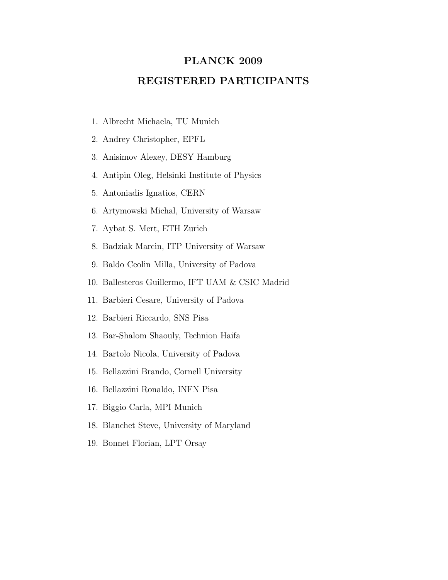## PLANCK 2009

## REGISTERED PARTICIPANTS

- 1. Albrecht Michaela, TU Munich
- 2. Andrey Christopher, EPFL
- 3. Anisimov Alexey, DESY Hamburg
- 4. Antipin Oleg, Helsinki Institute of Physics
- 5. Antoniadis Ignatios, CERN
- 6. Artymowski Michal, University of Warsaw
- 7. Aybat S. Mert, ETH Zurich
- 8. Badziak Marcin, ITP University of Warsaw
- 9. Baldo Ceolin Milla, University of Padova
- 10. Ballesteros Guillermo, IFT UAM & CSIC Madrid
- 11. Barbieri Cesare, University of Padova
- 12. Barbieri Riccardo, SNS Pisa
- 13. Bar-Shalom Shaouly, Technion Haifa
- 14. Bartolo Nicola, University of Padova
- 15. Bellazzini Brando, Cornell University
- 16. Bellazzini Ronaldo, INFN Pisa
- 17. Biggio Carla, MPI Munich
- 18. Blanchet Steve, University of Maryland
- 19. Bonnet Florian, LPT Orsay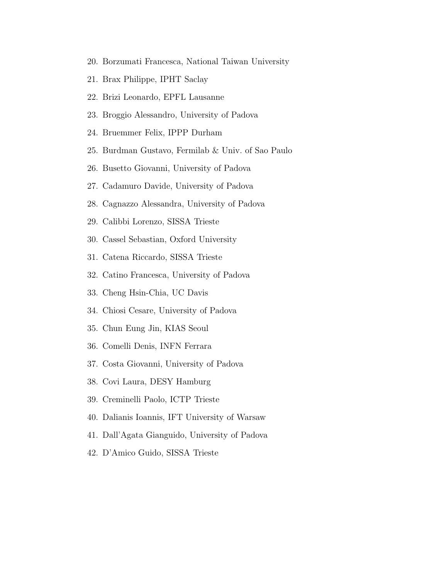- 20. Borzumati Francesca, National Taiwan University
- 21. Brax Philippe, IPHT Saclay
- 22. Brizi Leonardo, EPFL Lausanne
- 23. Broggio Alessandro, University of Padova
- 24. Bruemmer Felix, IPPP Durham
- 25. Burdman Gustavo, Fermilab & Univ. of Sao Paulo
- 26. Busetto Giovanni, University of Padova
- 27. Cadamuro Davide, University of Padova
- 28. Cagnazzo Alessandra, University of Padova
- 29. Calibbi Lorenzo, SISSA Trieste
- 30. Cassel Sebastian, Oxford University
- 31. Catena Riccardo, SISSA Trieste
- 32. Catino Francesca, University of Padova
- 33. Cheng Hsin-Chia, UC Davis
- 34. Chiosi Cesare, University of Padova
- 35. Chun Eung Jin, KIAS Seoul
- 36. Comelli Denis, INFN Ferrara
- 37. Costa Giovanni, University of Padova
- 38. Covi Laura, DESY Hamburg
- 39. Creminelli Paolo, ICTP Trieste
- 40. Dalianis Ioannis, IFT University of Warsaw
- 41. Dall'Agata Gianguido, University of Padova
- 42. D'Amico Guido, SISSA Trieste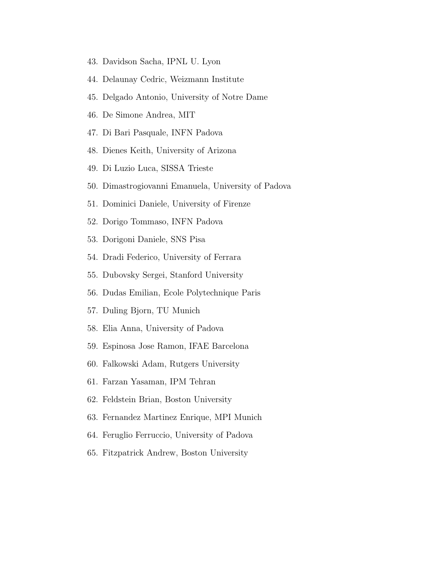- 43. Davidson Sacha, IPNL U. Lyon
- 44. Delaunay Cedric, Weizmann Institute
- 45. Delgado Antonio, University of Notre Dame
- 46. De Simone Andrea, MIT
- 47. Di Bari Pasquale, INFN Padova
- 48. Dienes Keith, University of Arizona
- 49. Di Luzio Luca, SISSA Trieste
- 50. Dimastrogiovanni Emanuela, University of Padova
- 51. Dominici Daniele, University of Firenze
- 52. Dorigo Tommaso, INFN Padova
- 53. Dorigoni Daniele, SNS Pisa
- 54. Dradi Federico, University of Ferrara
- 55. Dubovsky Sergei, Stanford University
- 56. Dudas Emilian, Ecole Polytechnique Paris
- 57. Duling Bjorn, TU Munich
- 58. Elia Anna, University of Padova
- 59. Espinosa Jose Ramon, IFAE Barcelona
- 60. Falkowski Adam, Rutgers University
- 61. Farzan Yasaman, IPM Tehran
- 62. Feldstein Brian, Boston University
- 63. Fernandez Martinez Enrique, MPI Munich
- 64. Feruglio Ferruccio, University of Padova
- 65. Fitzpatrick Andrew, Boston University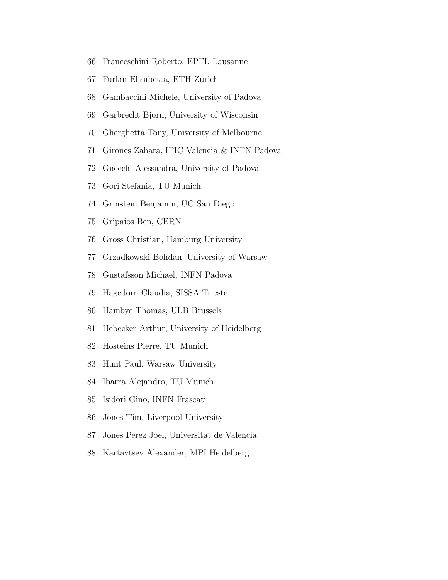- 66. Franceschini Roberto, EPFL Lausanne
- 67. Furlan Elisabetta, ETH Zurich
- 68. Gambaccini Michele, University of Padova
- 69. Garbrecht Bjorn, University of Wisconsin
- 70. Gherghetta Tony, University of Melbourne
- 71. Girones Zahara, IFIC Valencia & INFN Padova
- 72. Gnecchi Alessandra, University of Padova
- 73. Gori Stefania, TU Munich
- 74. Grinstein Benjamin, UC San Diego
- 75. Gripaios Ben, CERN
- 76. Gross Christian, Hamburg University
- 77. Grzadkowski Bohdan, University of Warsaw
- 78. Gustafsson Michael, INFN Padova
- 79. Hagedorn Claudia, SISSA Trieste
- 80. Hambye Thomas, ULB Brussels
- 81. Hebecker Arthur, University of Heidelberg
- 82. Hosteins Pierre, TU Munich
- 83. Hunt Paul, Warsaw University
- 84. Ibarra Alejandro, TU Munich
- 85. Isidori Gino, INFN Frascati
- 86. Jones Tim, Liverpool University
- 87. Jones Perez Joel, Universitat de Valencia
- 88. Kartavtsev Alexander, MPI Heidelberg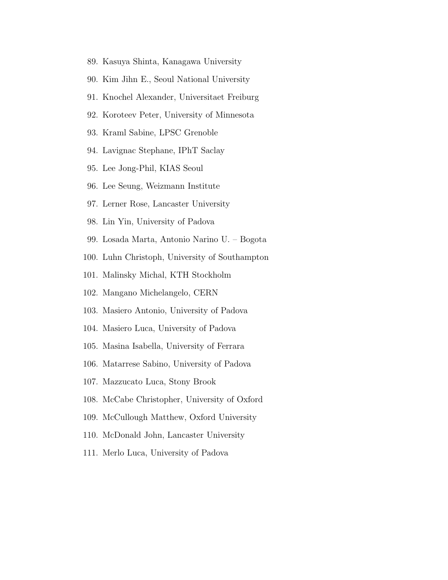- 89. Kasuya Shinta, Kanagawa University
- 90. Kim Jihn E., Seoul National University
- 91. Knochel Alexander, Universitaet Freiburg
- 92. Koroteev Peter, University of Minnesota
- 93. Kraml Sabine, LPSC Grenoble
- 94. Lavignac Stephane, IPhT Saclay
- 95. Lee Jong-Phil, KIAS Seoul
- 96. Lee Seung, Weizmann Institute
- 97. Lerner Rose, Lancaster University
- 98. Lin Yin, University of Padova
- 99. Losada Marta, Antonio Narino U. Bogota
- 100. Luhn Christoph, University of Southampton
- 101. Malinsky Michal, KTH Stockholm
- 102. Mangano Michelangelo, CERN
- 103. Masiero Antonio, University of Padova
- 104. Masiero Luca, University of Padova
- 105. Masina Isabella, University of Ferrara
- 106. Matarrese Sabino, University of Padova
- 107. Mazzucato Luca, Stony Brook
- 108. McCabe Christopher, University of Oxford
- 109. McCullough Matthew, Oxford University
- 110. McDonald John, Lancaster University
- 111. Merlo Luca, University of Padova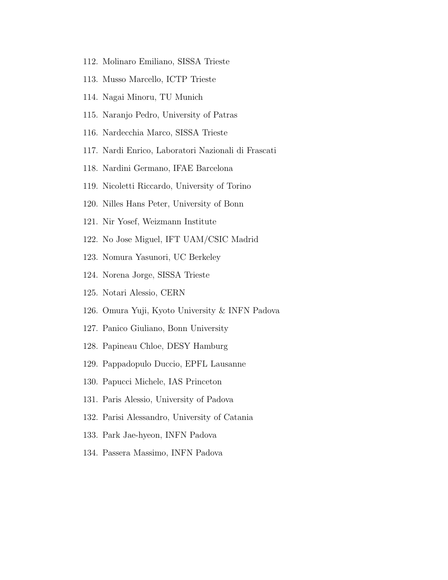- 112. Molinaro Emiliano, SISSA Trieste
- 113. Musso Marcello, ICTP Trieste
- 114. Nagai Minoru, TU Munich
- 115. Naranjo Pedro, University of Patras
- 116. Nardecchia Marco, SISSA Trieste
- 117. Nardi Enrico, Laboratori Nazionali di Frascati
- 118. Nardini Germano, IFAE Barcelona
- 119. Nicoletti Riccardo, University of Torino
- 120. Nilles Hans Peter, University of Bonn
- 121. Nir Yosef, Weizmann Institute
- 122. No Jose Miguel, IFT UAM/CSIC Madrid
- 123. Nomura Yasunori, UC Berkeley
- 124. Norena Jorge, SISSA Trieste
- 125. Notari Alessio, CERN
- 126. Omura Yuji, Kyoto University & INFN Padova
- 127. Panico Giuliano, Bonn University
- 128. Papineau Chloe, DESY Hamburg
- 129. Pappadopulo Duccio, EPFL Lausanne
- 130. Papucci Michele, IAS Princeton
- 131. Paris Alessio, University of Padova
- 132. Parisi Alessandro, University of Catania
- 133. Park Jae-hyeon, INFN Padova
- 134. Passera Massimo, INFN Padova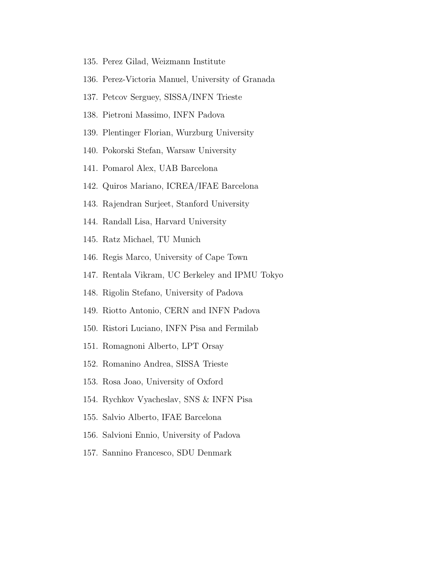- 135. Perez Gilad, Weizmann Institute
- 136. Perez-Victoria Manuel, University of Granada
- 137. Petcov Serguey, SISSA/INFN Trieste
- 138. Pietroni Massimo, INFN Padova
- 139. Plentinger Florian, Wurzburg University
- 140. Pokorski Stefan, Warsaw University
- 141. Pomarol Alex, UAB Barcelona
- 142. Quiros Mariano, ICREA/IFAE Barcelona
- 143. Rajendran Surjeet, Stanford University
- 144. Randall Lisa, Harvard University
- 145. Ratz Michael, TU Munich
- 146. Regis Marco, University of Cape Town
- 147. Rentala Vikram, UC Berkeley and IPMU Tokyo
- 148. Rigolin Stefano, University of Padova
- 149. Riotto Antonio, CERN and INFN Padova
- 150. Ristori Luciano, INFN Pisa and Fermilab
- 151. Romagnoni Alberto, LPT Orsay
- 152. Romanino Andrea, SISSA Trieste
- 153. Rosa Joao, University of Oxford
- 154. Rychkov Vyacheslav, SNS & INFN Pisa
- 155. Salvio Alberto, IFAE Barcelona
- 156. Salvioni Ennio, University of Padova
- 157. Sannino Francesco, SDU Denmark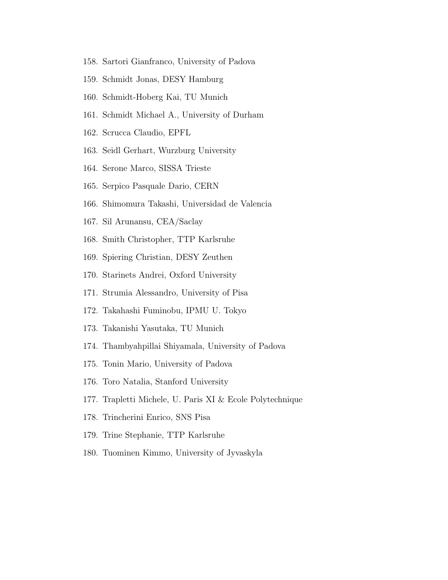- 158. Sartori Gianfranco, University of Padova
- 159. Schmidt Jonas, DESY Hamburg
- 160. Schmidt-Hoberg Kai, TU Munich
- 161. Schmidt Michael A., University of Durham
- 162. Scrucca Claudio, EPFL
- 163. Seidl Gerhart, Wurzburg University
- 164. Serone Marco, SISSA Trieste
- 165. Serpico Pasquale Dario, CERN
- 166. Shimomura Takashi, Universidad de Valencia
- 167. Sil Arunansu, CEA/Saclay
- 168. Smith Christopher, TTP Karlsruhe
- 169. Spiering Christian, DESY Zeuthen
- 170. Starinets Andrei, Oxford University
- 171. Strumia Alessandro, University of Pisa
- 172. Takahashi Fuminobu, IPMU U. Tokyo
- 173. Takanishi Yasutaka, TU Munich
- 174. Thambyahpillai Shiyamala, University of Padova
- 175. Tonin Mario, University of Padova
- 176. Toro Natalia, Stanford University
- 177. Trapletti Michele, U. Paris XI & Ecole Polytechnique
- 178. Trincherini Enrico, SNS Pisa
- 179. Trine Stephanie, TTP Karlsruhe
- 180. Tuominen Kimmo, University of Jyvaskyla